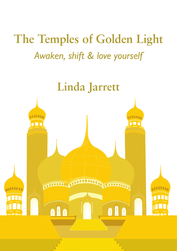# **The Temples of Golden Light** *Awaken, shift & love yourself*

# **Linda Jarrett**

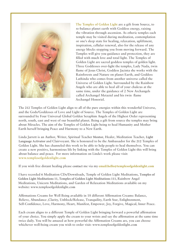

**The Temples of Golden Light are a gift from Source, to re-balance planet earth with Goddess energy, raising the vibration through ascension. As etheric temples each temple may be visited during meditation, contemplation or one's sleep state for healing, relaxation, upliftment, inspiration, cellular renewal, also for the release of any energy blocks stopping you from moving forward. The Temples will give you guidance and protection, they are filled with much love and total light. The Temples of Golden Light are sacred goddess temples of golden light. Three Goddesses over-light the temples, Lady Nada, twin flame of Jesus Christ, Goddess Jacinta she works with the Rainforests and Nature on planet Earth, and Goddess Lathinda who comes from another universe called the Universe of Golden Light. Surrounded by the Rainbow Angels who are able to heal all of your chakras at the same time, under the guidance of 2 New Archangels called Archangel Metaziel and his twin flame Archangel Honoriel.**

**The 212 Temples of Golden Light align to all of the pure energies within this wonderful Universe, and the Gods/Goddesses of Love and Light of Source. The Temples of Golden Light are surrounded by Four Universal Global Golden Seraphim Angels of the Highest Order representing north, south, east and west of our beautiful planet. Being a gift from source the temples may bring about Miracles. The aim of the Temples of Golden Light being to heal Humanity and Mother Earth herself bringing Peace and Harmony to a New Earth.**

**Linda Jarrett is an Author, Writer, Spiritual Teacher Mentor, Healer, Meditation Teacher, Light Language Activator and Clairvoyant. She is honoured to be the Ambassador for the 212 Temples of Golden Light. She has channeled this work to be able to help people to heal themselves. You can create a new positive, harmonious life by linking with the Temples of Golden Light this will bring about balance and peace. For more information on Linda's work please visit: www.templesofgoldenlight.com**

**If you wish free distant healing please contact me via my email:hello@templesofgoldenlight.com**

**I have recorded 6 Meditation CDs/Downloads, Temple of Golden Light Meditations, Temples of Golden Light Meditations 11, Temples of Golden Light Meditations 111, Rainbow Angel Meditations, Unicorn Meditations, and Garden of Relaxation Meditations available on my website: www.templesofgoldenlight.com**

**Affirmations Creams for Well Being available in 18 different Affirmation Creams: Balance, Believe, Abundance ,Clarity, Unblock/Release, Tranquility, Earth Star, Enlightenment, Self-Confidence, Love, Harmony, Heart, Manifest, Empower, Joy, Forgive, Magical, Inner Peace.** 

**Each cream aligns to a different Temple of Golden Light bringing forward a powerful affirmation of your choice. You simply apply the cream to your wrists and say the affirmation at the same time twice daily. You will be amazed at how powerful the Affirmation Creams are, you can choose whichever well-being cream you wish to order visit: www.templesofgoldenlight.com**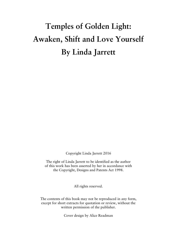# Temples of Golden Light: Awaken, Shift and Love Yourself By Linda Jarrett

Copyright Linda Jarrett 2016

The right of Linda Jarrett to be identified as the author of this work has been asserted by her in accordance with the Copyright, Designs and Patents Act 1998.

All rights reserved.

The contents of this book may not be reproduced in any form, except for short extracts for quotation or review, without the written permission of the publisher.

Cover design by Alice Readman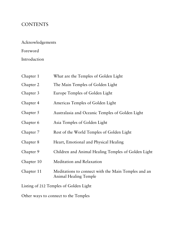### **CONTENTS**

Acknowledgements

### Foreword

Introduction

| Chapter 1  | What are the Temples of Golden Light                                                |
|------------|-------------------------------------------------------------------------------------|
| Chapter 2  | The Main Temples of Golden Light                                                    |
| Chapter 3  | Europe Temples of Golden Light                                                      |
| Chapter 4  | Americas Temples of Golden Light                                                    |
| Chapter 5  | Australasia and Oceanic Temples of Golden Light                                     |
| Chapter 6  | Asia Temples of Golden Light                                                        |
| Chapter 7  | Rest of the World Temples of Golden Light                                           |
| Chapter 8  | Heart, Emotional and Physical Healing                                               |
| Chapter 9  | Children and Animal Healing Temples of Golden Light                                 |
| Chapter 10 | <b>Meditation and Relaxation</b>                                                    |
| Chapter 11 | Meditations to connect with the Main Temples and an<br><b>Animal Healing Temple</b> |

Listing of 212 Temples of Golden Light

Other ways to connect to the Temples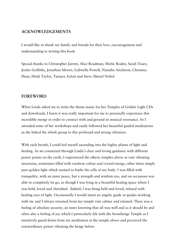#### ACKNOWLEDGEMENTS

I would like to thank my family and friends for their love, encouragement and understanding in writing this book.

Special thanks to Christopher Jarrett, Alice Readman, Shirlie Roden, Sarah Tosey, Jooles Griffiths, Jonathan Moore, Gabriella Powell, Natasha Aitchison, Christina Hunt, Heidi Taylor, Tamara Aylott and Steve Ahnael Nobel.

#### FOREWORD

When Linda asked me to write the theme music for her Temples of Golden Light CDs and downloads, I knew it was really important for me to personally experience this incredible energy in order to connect with and ground its musical resonance. So I attended some of her workshops and easily followed her beautiful guided meditations as she linked the whole group to this profound and strong vibration.

With each breath, I could feel myself ascending into the higher planes of light and healing. As we connected through Linda's clear and loving guidance with different power points on the earth, I experienced the etheric temples above as vast vibrating structures, sometimes filled with rainbow colour and crystal energy, other times simply pure golden light which seemed to bathe the cells of my body. I was filled with tranquility, with an inner peace, but a strength and wisdom too, and on occasions was able to completely let go, as though I was lying in a beautiful healing space where I was held, loved and cherished. Indeed, I was being held and loved, infused with healing rays of light. Occasionally I would intuit an angelic guide or guides working with me and I always returned from my temple visit calmer and retuned. There was a feeling of absolute security, an inner knowing that all was well and as it should be and often also a feeling of joy which I particularly felt with the Stonehenge Temple as I intuitively gazed down from my meditation in the temple above and perceived the extraordinary power vibrating the henge below.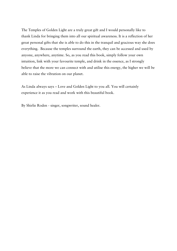The Temples of Golden Light are a truly great gift and I would personally like to thank Linda for bringing them into all our spiritual awareness. It is a reflection of her great personal gifts that she is able to do this in the tranquil and gracious way she does everything. Because the temples surround the earth, they can be accessed and used by anyone, anywhere, anytime. So, as you read this book, simply follow your own intuition, link with your favourite temple, and drink in the essence, as I strongly believe that the more we can connect with and utilise this energy, the higher we will be able to raise the vibration on our planet.

As Linda always says – Love and Golden Light to you all. You will certainly experience it as you read and work with this beautiful book.

By Shirlie Roden - singer, songwriter, sound healer.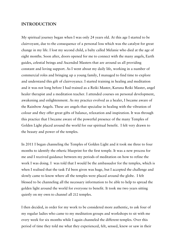#### INTRODUCTION

My spiritual journey began when I was only 24 years old. At this age I started to be clairvoyant, due to the consequence of a personal loss which was the catalyst for great change in my life. I lost my second child, a baby called Melanie who died at the age of eight months. Soon after, doors opened for me to connect with the many angels, Earth guides, celestial beings and Ascended Masters that are around us all providing constant and loving support. As I went about my daily life, working in a number of commercial roles and bringing up a young family, I managed to find time to explore and understand this gift of clairvoyance. I started training in healing and meditation and it was not long before I had trained as a Reiki Master, Karuna Reiki Master, angel healer therapist and a meditation teacher. I attended courses on personal development, awakening and enlightenment. As my practice evolved as a healer, I became aware of the Rainbow Angels. These are angels that specialise in healing with the vibration of colour and they offer great gifts of balance, relaxation and inspiration. It was through this practice that I became aware of the powerful presence of the many Temples of Golden Light placed around the world for our spiritual benefit. I felt very drawn to the beauty and power of the temples.

In 2011 I began channeling the Temples of Golden Light and it took me three to four months to identify the etheric blueprint for the first temple. It was a new process for me and I received guidance between my periods of meditation on how to refine the work I was doing. I was told that I would be the ambassador for the temples, which is when I realised that the task I'd been given was huge, but I accepted the challenge and slowly came to know where all the temples were placed around the globe. I felt blessed to be channeling all the necessary information to be able to help to spread the golden light around the world for everyone to benefit. It took me two years sitting quietly on my own to channel all 212 temples.

I then decided, in order for my work to be considered more authentic, to ask four of my regular ladies who came to my meditation groups and workshops to sit with me every week for six months while I again channeled the different temples. Over this period of time they told me what they experienced, felt, sensed, knew or saw in their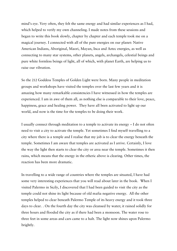mind's eye. Very often, they felt the same energy and had similar experiences as I had, which helped to verify my own channeling. I made notes from these sessions and began to write this book slowly, chapter by chapter and each temple took me on a magical journey. I connected with all of the pure energies on our planet: Native American Indians, Aboriginal, Maori, Mayan, Inca and Aztec energies, as well as connecting to many star systems, other planets, angels, archangels, celestial beings and pure white formless beings of light, all of which, with planet Earth, are helping us to raise our vibration.

So the 212 Goddess Temples of Golden Light were born. Many people in meditation groups and workshops have visited the temples over the last few years and it is amazing how many remarkable consistencies I have witnessed in how the temples are experienced. I am in awe of them all, as nothing else is comparable to their love, peace, happiness, grace and healing power. They have all been activated to light up our world, and now is the time for the temples to be doing their work.

I usually connect through meditation to a temple to activate its energy – I do not often need to visit a city to activate the temple. Yet sometimes I find myself travelling to a city where there is a temple and I realise that my job is to clear the energy beneath the temple. Sometimes I am aware that temples are activated as I arrive. Certainly, I love the way the light then starts to clear the city or area near the temple. Sometimes it then rains, which means that the energy in the etheric above is clearing. Other times, the reaction has been more dramatic.

In travelling to a wide range of countries where the temples are situated, I have had some very interesting experiences that you will read about later in the book. When I visited Palermo in Sicily, I discovered that I had been guided to visit the city as the temple could not shine its light because of old mafia negative energy. All the other temples helped to clear beneath Palermo Temple of its heavy energy and it took three days to clear. . On the fourth day the city was cleansed by water; it rained solidly for three hours and flooded the city as if there had been a monsoon. The water rose to three feet in some areas and cars came to a halt. The light now shines upon Palermo brightly.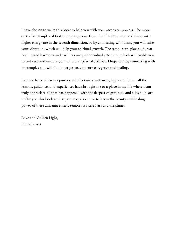I have chosen to write this book to help you with your ascension process. The more earth-like Temples of Golden Light operate from the fifth dimension and those with higher energy are in the seventh dimension, so by connecting with them, you will raise your vibration, which will help your spiritual growth. The temples are places of great healing and harmony and each has unique individual attributes, which will enable you to embrace and nurture your inherent spiritual abilities. I hope that by connecting with the temples you will find inner peace, contentment, grace and healing.

I am so thankful for my journey with its twists and turns, highs and lows…all the lessons, guidance, and experiences have brought me to a place in my life where I can truly appreciate all that has happened with the deepest of gratitude and a joyful heart. I offer you this book so that you may also come to know the beauty and healing power of these amazing etheric temples scattered around the planet.

Love and Golden Light, Linda Jarrett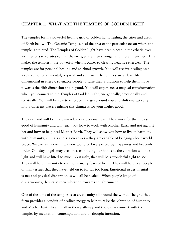#### CHAPTER 1: WHAT ARE THE TEMPLES OF GOLDEN LIGHT

The temples form a powerful healing grid of golden light, healing the cities and areas of Earth below. The Oceanic Temples heal the area of the particular ocean where the temple is situated. The Temples of Golden Light have been placed in the etheric over ley lines or sacred sites so that the energies are then stronger and more intensified. This makes the temples more powerful when it comes to clearing negative energies. The temples are for personal healing and spiritual growth. You will receive healing on all levels - emotional, mental, physical and spiritual. The temples are at least fifth dimensional in energy, so enable people to raise their vibrations to help them move towards the fifth dimension and beyond. You will experience a magical transformation when you connect to the Temples of Golden Light, energetically, emotionally and spiritually. You will be able to embrace changes around you and shift energetically into a different place, realising this change is for your higher good.

They can and will facilitate miracles on a personal level. They work for the highest good of humanity and will teach you how to work with Mother Earth and not against her and how to help heal Mother Earth. They will show you how to live in harmony with humanity, animals and sea creatures – they are capable of bringing about world peace. We are really creating a new world of love, peace, joy, happiness and heavenly order. One day angels may even be seen holding our hands as the vibration will be so light and will have lifted so much. Certainly, that will be a wonderful sight to see. They will help humanity to overcome many fears of living. They will help heal people of many issues that they have held on to for far too long. Emotional issues, mental issues and physical disharmonies will all be healed. When people let go of disharmonies, they raise their vibration towards enlightenment.

One of the aims of the temples is to create unity all around the world. The grid they form provides a conduit of healing energy to help to raise the vibration of humanity and Mother Earth, healing all in their pathway and those that connect with the temples by meditation, contemplation and by thought intention.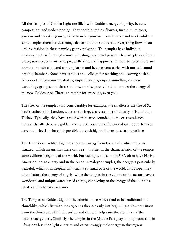All the Temples of Golden Light are filled with Goddess energy of purity, beauty, compassion, and understanding. They contain statues, flowers, furniture, mirrors, gardens and everything imaginable to make your visit comfortable and worthwhile. In some temples there is a deafening silence and time stands still. Everything flows in an orderly fashion in these temples, gently pulsating. The temples have individual qualities, such as for enlightenment, healing, peace and prayer. They are places of pure peace, serenity, contentment, joy, well-being and happiness. In most temples, there are rooms for meditation and contemplation and healing sanctuaries with musical sound healing chambers. Some have schools and colleges for teaching and learning such as Schools of Enlightenment, study groups, therapy groups, counselling and new technology groups, and classes on how to raise your vibration to meet the energy of the new Golden Age. There is a temple for everyone, even you.

The sizes of the temples vary considerably; for example, the smallest is the size of St. Paul's cathedral in London, whereas the largest covers most of the city of Istanbul in Turkey. Typically, they have a roof with a large, rounded, dome or several such domes. Usually these are golden and sometimes show different colours. Some temples have many levels, where it is possible to reach higher dimensions, to source level.

The Temples of Golden Light incorporate energy from the area in which they are situated, which means that there can be similarities in the characteristics of the temples across different regions of the world. For example, those in the USA often have Native American Indian energy and in the Asian Himalayan temples, the energy is particularly peaceful, which is in keeping with such a spiritual part of the world. In Europe, they often feature the energy of angels, while the temples in the etheric of the oceans have a wonderful and unique water-based energy, connecting to the energy of the dolphins, whales and other sea creatures.

The Temples of Golden Light in the etheric above Africa tend to be traditional and churchlike, which fits with the region as they are only just beginning a slow transition from the third to the fifth dimension and this will help raise the vibration of the heavier energy here. Similarly, the temples in the Middle East play an important role in lifting any less than light energies and often strongly male energy in this region.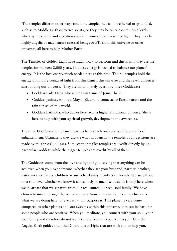The temples differ in other ways too, for example, they can be ethereal or grounded, such as to Middle Earth or to tree spirits, or they may be on one or multiple levels, whereby the energy and vibration rises and comes closer to source light. They may be highly angelic or may feature celestial beings or ETs from this universe or other universes, all here to help Mother Earth.

The Temples of Golden Light have much work to perform and this is why they are the temples for the next 2,000 years. Goddess energy is needed to balance our planet's energy. It is the love energy much needed here at this time. The 212 temples hold the energy of all pure beings of light from this planet, this universe and the seven universes surrounding our universe. They are all ultimately overlit by three Goddesses:

- Goddess Lady Nada who is the twin flame of Jesus Christ.
- Goddess Jacinta, who is a Mayan Elder and connects to Earth, nature and the rain forests of this world.
- Goddess Lathinda, who comes here from a higher vibrational universe. She is here to help with your spiritual growth, development and awareness.

The three Goddesses complement each other as each one carries different gifts of enlightenment. Ultimately, they dictate what happens in the temples as all decisions are made by the three Goddesses. Some of the smaller temples are overlit directly by one particular Goddess, while the bigger temples are overlit by all of them.

The Goddesses come from the love and light of god, saying that anything can be achieved when you love someone, whether they are your husband, partner, brother, sister, mother, father, children or any other family members or friends. We are all one on a soul level whether we know it consciously or unconsciously. It is only here when we incarnate that we separate from our real source, our real soul family. We have chosen to move through the veil of amnesia. Sometimes we can have no clue as to what we are doing here, or even what our purpose is. This planet is very dense compared to other planets and star systems within this universe, so it can be hard for some people who are sensitive. When you meditate, you connect with your soul, your soul family and therefore do not feel so alone. You also connect to your Guardian Angels, Earth guides and other Guardians of Light that are with you to help you.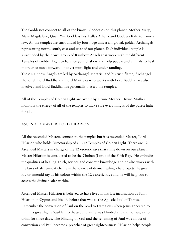The Goddesses connect to all of the known Goddesses on this planet: Mother Mary, Mary Magdalene, Quan Yin, Goddess Isis, Pallas Athena and Goddess Kali, to name a few. All the temples are surrounded by four huge universal, global, golden Archangels representing north, south, east and west of our planet. Each individual temple is surrounded by their own group of Rainbow Angels that work with the different Temples of Golden Light to balance your chakras and help people and animals to heal in order to move forward, into yet more light and understanding. These Rainbow Angels are led by Archangel Metaziel and his twin flame, Archangel Honoriel. Lord Buddha and Lord Maitreya who works with Lord Buddha, are also involved and Lord Buddha has personally blessed the temples.

All of the Temples of Golden Light are overlit by Divine Mother. Divine Mother monitors the energy of all of the temples to make sure everything is of the purest light for all.

#### ASCENDED MASTER, LORD HILARION

All the Ascended Masters connect to the temples but it is Ascended Master, Lord Hilarion who holds Directorship of all 212 Temples of Golden Light. There are 12 Ascended Masters in charge of the 12 esoteric rays that shine down on our planet. Master Hilarion is considered to be the Chohan (Lord) of the Fifth Ray. He embodies the qualities of healing, truth, science and concrete knowledge and he also works with the laws of alchemy. Alchemy is the science of divine healing - he projects the green ray or emerald ray as his colour within the 12 esoteric rays and he will help you to access the divine healer within.

Ascended Master Hilarion is believed to have lived in his last incarnation as Saint Hilarion in Cyprus and his life before that was as the Apostle Paul of Tarsus. Remember the conversion of Saul on the road to Damascus when Jesus appeared to him in a great light? Saul fell to the ground as he was blinded and did not see, eat or drink for three days. The blinding of Saul and the renaming of Paul was an act of conversion and Paul became a preacher of great righteousness. Hilarion helps people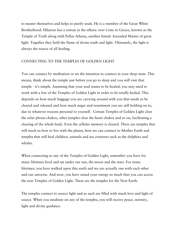to master themselves and helps to purify souls. He is a member of the Great White Brotherhood. Hilarion has a retreat in the etheric over Crete in Greece, known as the Temple of Truth along with Pallas Athena, another female Ascended Master of great light. Together they hold the flame of divine truth and light. Ultimately, the light is always the source of all healing.

#### CONNECTING TO THE TEMPLES OF GOLDEN LIGHT

You can connect by meditation or set the intention to connect in your sleep-state. This means, think about the temple just before you go to sleep and you will visit that temple - it's simple. Assuming that your soul wants to be healed, you may need to work with a few of the Temples of Golden Light in order to be totally healed. This depends on how much baggage you are carrying around with you that needs to be cleared and released and how much anger and resentment you are still holding on to, due to whatever reasons personal to yourself. Certain Temples of Golden Light clear the solar plexus chakra, other temples clear the heart chakra and so on, facilitating a clearing of the whole body. Even the cellular memory is cleared. There are temples that will teach us how to live with the planet, how we can connect to Mother Earth and temples that will heal children, animals and sea creatures such as the dolphins and whales.

When connecting to any of the Temples of Golden Light, remember you have for many lifetimes lived and sat under our sun, the moon and the stars. For many lifetimes, you have walked upon this earth and we are actually one with each other and our universe. And now, you have raised your energy so much that you can access the new Temples of Golden Light. These are the temples for the New Earth.

The temples connect to source light and as such are filled with much love and light of source. When you meditate on any of the temples, you will receive peace, serenity, light and divine guidance.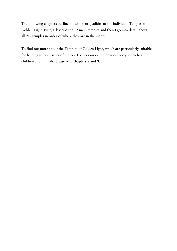The following chapters outline the different qualities of the individual Temples of Golden Light. First, I describe the 12 main temples and then I go into detail about all 212 temples in order of where they are in the world.

To find out more about the Temples of Golden Light, which are particularly suitable for helping to heal issues of the heart, emotions or the physical body, or to heal children and animals, please read chapters 8 and 9.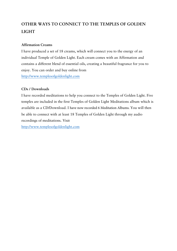## OTHER WAYS TO CONNECT TO THE TEMPLES OF GOLDEN LIGHT

#### Affirmation Creams

I have produced a set of 18 creams, which will connect you to the energy of an individual Temple of Golden Light. Each cream comes with an Affirmation and contains a different blend of essential oils, creating a beautiful fragrance for you to enjoy. You can order and buy online from http://www.templesofgoldenlight.com

#### CDs / Downloads

I have recorded meditations to help you connect to the Temples of Golden Light. Five temples are included in the first Temples of Golden Light Meditations album which is available as a CD/Download. I have now recorded 6 Meditation Albums. You will then be able to connect with at least 18 Temples of Golden Light through my audio recordings of meditations. Visit http://www.templesofgoldenlight.com